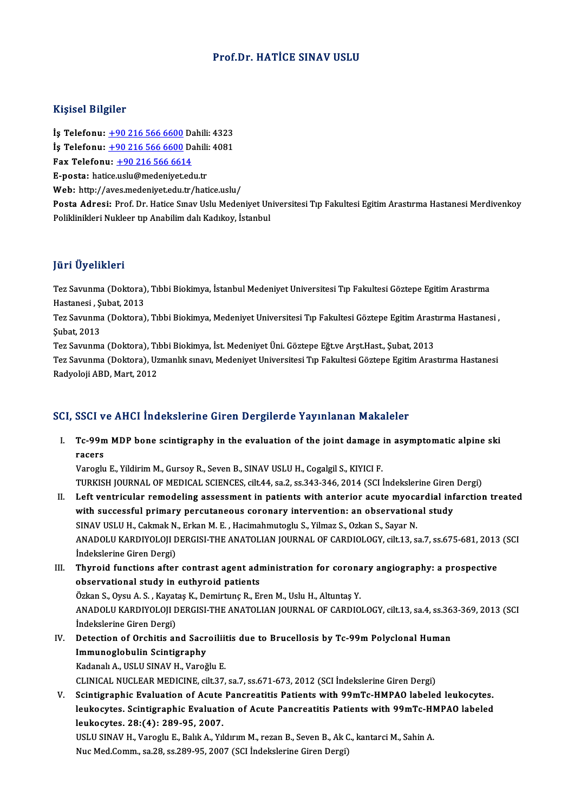### Prof.Dr. HATİCE SINAV USLU

#### Kişisel Bilgiler

İş Telefonu: +90 216 566 6600 Dahili: 4323 11191001 D1191101<br>İş Telefonu: <u>+90 216 566 6600</u> Dahili: 4323<br>İş Telefonu: <u>+90 216 566 6600</u> Dahili: 4081<br>For Telefonu: +90 216 566 6614 Is Telefonu: <u>+90 216 566 6600</u> Da<br>Is Telefonu: <u>+90 216 566 6600</u> Da<br>Fax Telefonu: <u>+90 216 566 6614</u><br>F nosta: batice uslu@modeniyet.ed İş Telefonu: <u>+90 216 566 6600</u> Dahili<br>Fax Telefonu: <u>+90 216 566 6614</u><br>E-posta: hati[ce.](tel:+90 216 566 6600)[uslu@medeniyet.ed](tel:+90 216 566 6614)u.tr<br>Web: http://aves.medeniyet.edu.tr Fax Telefonu: <u>+90 216 566 6614</u><br>E-posta: hatice.uslu@medeniyet.edu.tr<br>Web: http://aves.medeniyet.edu.tr/hatice.uslu/

Posta Adresi: Prof. Dr. Hatice Sınav Uslu Medeniyet Universitesi Tıp Fakultesi Egitim Arastırma Hastanesi Merdivenkoy Poliklinikleri Nukleer tip Anabilim dalı Kadıkoy, İstanbul

### JüriÜyelikleri

Jüri Üyelikleri<br>Tez Savunma (Doktora), Tıbbi Biokimya, İstanbul Medeniyet Universitesi Tıp Fakultesi Göztepe Egitim Arastırma<br>Hastanesi, Subat, 2012 Jurr <del>oyommori</del><br>Tez Savunma (Doktora)<br>Hastanesi , Şubat, 2013<br>Tez Sayunma (Doktora) Tez Savunma (Doktora), Tıbbi Biokimya, İstanbul Medeniyet Universitesi Tıp Fakultesi Göztepe Egitim Arastırma<br>Hastanesi , Şubat, 2013<br>Tez Savunma (Doktora), Tıbbi Biokimya, Medeniyet Universitesi Tıp Fakultesi Göztepe Egit

Hastanesi , Ş<br>Tez Savunma<br>Şubat, 2013<br>Tez Savunma Tez Savunma (Doktora), Tıbbi Biokimya, Medeniyet Universitesi Tıp Fakultesi Göztepe Egitim Arast<br>Şubat, 2013<br>Tez Savunma (Doktora), Tıbbi Biokimya, İst. Medeniyet Üni. Göztepe Eğt.ve Arşt.Hast., Şubat, 2013<br>Tez Savunma (Do

Şubat, 2013<br>Tez Savunma (Doktora), Tıbbi Biokimya, İst. Medeniyet Üni. Göztepe Eğt.ve Arşt.Hast., Şubat, 2013<br>Tez Savunma (Doktora), Uzmanlık sınavı, Medeniyet Universitesi Tıp Fakultesi Göztepe Egitim Arastırma Hastanesi<br> Tez Savunma (Doktora), Tıbbi Biokimya, İst. Medeniyet Üni. Göztepe Eğt.ve Arşt.Hast., Şubat, 2013

### SCI, SSCI ve AHCI İndekslerine Giren Dergilerde Yayınlanan Makaleler

I. Tc-99mMDP bone scintigraphy in the evaluation of the joint damage in asymptomatic alpine ski sser<br>Tc-99n<br>racers<br><sup>Verealu</sup> racers<br>Varoglu E., Yildirim M., Gursoy R., Seven B., SINAV USLU H., Cogalgil S., KIYICI F.

TURKISH JOURNAL OF MEDICAL SCIENCES, cilt.44, sa.2, ss.343-346, 2014 (SCI İndekslerine Giren Dergi)

- II. Left ventricular remodeling assessment in patients with anterior acute myocardial infarction treated TURKISH JOURNAL OF MEDICAL SCIENCES, cilt.44, sa.2, ss.343-346, 2014 (SCI İndekslerine Giren<br>Left ventricular remodeling assessment in patients with anterior acute myocardial inf<br>with successful primary percutaneous corona Left ventricular remodeling assessment in patients with anterior acute myoca<br>with successful primary percutaneous coronary intervention: an observation<br>SINAV USLU H., Cakmak N., Erkan M. E. , Hacimahmutoglu S., Yilmaz S., SINAV USLU H., Cakmak N., Erkan M. E. , Hacimahmutoglu S., Yilmaz S., Ozkan S., Sayar N.<br>ANADOLU KARDIYOLOJI DERGISI-THE ANATOLIAN JOURNAL OF CARDIOLOGY, cilt.13, sa.7, ss.675-681, 2013 (SCI İndekslerine Giren Dergi) ANADOLU KARDIYOLOJI DERGISI-THE ANATOLIAN JOURNAL OF CARDIOLOGY, cilt.13, sa.7, ss.675-681, 2013<br>Indekslerine Giren Dergi)<br>III. Thyroid functions after contrast agent administration for coronary angiography: a prospective<br>
- İndekslerine Giren Dergi)<br>Thyroid functions after contrast agent adr<br>observational study in euthyroid patients<br>Örkan S. Ovey A. S., Kayatas K. Demirtung B. Er Thyroid functions after contrast agent administration for corona<br>observational study in euthyroid patients<br>Özkan S., Oysu A. S., Kayataş K., Demirtunç R., Eren M., Uslu H., Altuntaş Y.<br>ANADOLU KARDIYOLOU DERCISLTHE ANATOLI observational study in euthyroid patients<br>Özkan S., Oysu A. S. , Kayataş K., Demirtunç R., Eren M., Uslu H., Altuntaş Y.<br>ANADOLU KARDIYOLOJI DERGISI-THE ANATOLIAN JOURNAL OF CARDIOLOGY, cilt.13, sa.4, ss.363-369, 2013 (SCI Özkan S., Oysu A. S. , Kayat<br>ANADOLU KARDIYOLOJI D<br>İndekslerine Giren Dergi)<br>Patastion of Orshitis ar

### ANADOLU KARDIYOLOJI DERGISI-THE ANATOLIAN JOURNAL OF CARDIOLOGY, cilt.13, sa.4, ss.36<br>Indekslerine Giren Dergi)<br>IV. Detection of Orchitis and Sacroiliitis due to Brucellosis by Tc-99m Polyclonal Human<br>Immunoglobulin Scinti Indekslerine Giren Dergi)<br>Detection of Orchitis and Sacr<br>Immunoglobulin Scintigraphy<br>Kadanak A, USU USINAV H, Varoğ Detection of Orchitis and Sacroilii<br>Immunoglobulin Scintigraphy<br>Kadanalı A., USLU SINAV H., Varoğlu E.<br>CUNICAL NUCLEAP MEDICINE silt 27 Immunoglobulin Scintigraphy<br>Kadanalı A., USLU SINAV H., Varoğlu E.<br>CLINICAL NUCLEAR MEDICINE, cilt.37, sa.7, ss.671-673, 2012 (SCI İndekslerine Giren Dergi) Kadanalı A., USLU SINAV H., Varoğlu E.<br>CLINICAL NUCLEAR MEDICINE, cilt.37, sa.7, ss.671-673, 2012 (SCI İndekslerine Giren Dergi)<br>V. Scintigraphic Evaluation of Acute Pancreatitis Patients with 99mTc-HMPAO labeled leukocyte

CLINICAL NUCLEAR MEDICINE, cilt.37, sa.7, ss.671-673, 2012 (SCI İndekslerine Giren Dergi)<br>Scintigraphic Evaluation of Acute Pancreatitis Patients with 99mTc-HMPAO labeled leukocytes.<br>leukocytes. Scintigraphic Evaluation of Scintigraphic Evaluation of Acute<br>leukocytes. Scintigraphic Evaluati<br>leukocytes. 28:(4): 289-95, 2007.<br>USULSMAV H. Vareglu E. Palik A. Vil leukocytes. Scintigraphic Evaluation of Acute Pancreatitis Patients with 99mTc-HI<br>leukocytes. 28:(4): 289-95, 2007.<br>USLU SINAV H., Varoglu E., Balık A., Yıldırım M., rezan B., Seven B., Ak C., kantarci M., Sahin A.<br>Nue Med

<mark>leukocytes. 28:(4): 289-95, 2007.</mark><br>USLU SINAV H., Varoglu E., Balık A., Yıldırım M., rezan B., Seven B., Ak C<br>Nuc Med.Comm., sa.28, ss.289-95, 2007 (SCI İndekslerine Giren Dergi)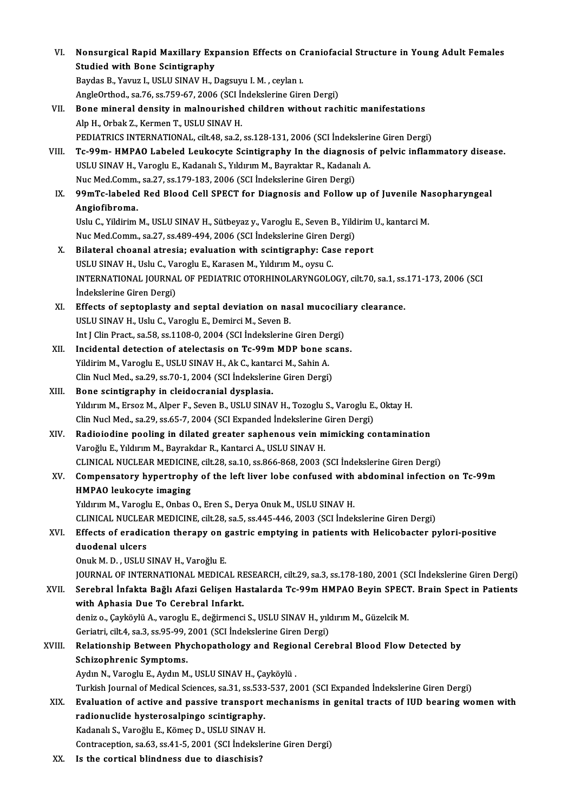| VI.    | Nonsurgical Rapid Maxillary Expansion Effects on Craniofacial Structure in Young Adult Females                      |
|--------|---------------------------------------------------------------------------------------------------------------------|
|        | <b>Studied with Bone Scintigraphy</b>                                                                               |
|        | Baydas B., Yavuz I., USLU SINAV H., Dagsuyu I. M., ceylan 1.                                                        |
|        | AngleOrthod., sa.76, ss.759-67, 2006 (SCI İndekslerine Giren Dergi)                                                 |
| VII.   | Bone mineral density in malnourished children without rachitic manifestations                                       |
|        | Alp H., Orbak Z., Kermen T., USLU SINAV H.                                                                          |
|        | PEDIATRICS INTERNATIONAL, cilt.48, sa.2, ss.128-131, 2006 (SCI Indekslerine Giren Dergi)                            |
| VIII.  | Tc-99m- HMPAO Labeled Leukocyte Scintigraphy In the diagnosis of pelvic inflammatory disease.                       |
|        | USLU SINAV H., Varoglu E., Kadanalı S., Yıldırım M., Bayraktar R., Kadanalı A.                                      |
|        | Nuc Med.Comm., sa.27, ss.179-183, 2006 (SCI Indekslerine Giren Dergi)                                               |
| IX.    | 99mTc-labeled Red Blood Cell SPECT for Diagnosis and Follow up of Juvenile Nasopharyngeal                           |
|        | Angiofibroma.                                                                                                       |
|        | Uslu C., Yildirim M., USLU SINAV H., Sütbeyaz y., Varoglu E., Seven B., Yildirim U., kantarci M.                    |
|        | Nuc Med.Comm., sa 27, ss 489-494, 2006 (SCI Indekslerine Giren Dergi)                                               |
| X.     | Bilateral choanal atresia; evaluation with scintigraphy: Case report                                                |
|        | USLU SINAV H., Uslu C., Varoglu E., Karasen M., Yıldırım M., oysu C.                                                |
|        | INTERNATIONAL JOURNAL OF PEDIATRIC OTORHINOLARYNGOLOGY, cilt.70, sa.1, ss.171-173, 2006 (SCI                        |
|        | İndekslerine Giren Dergi)                                                                                           |
| XI.    | Effects of septoplasty and septal deviation on nasal mucociliary clearance.                                         |
|        | USLU SINAV H., Uslu C., Varoglu E., Demirci M., Seven B.                                                            |
|        | Int J Clin Pract., sa.58, ss.1108-0, 2004 (SCI Indekslerine Giren Dergi)                                            |
| XII.   | Incidental detection of atelectasis on Tc-99m MDP bone scans.                                                       |
|        | Yildirim M., Varoglu E., USLU SINAV H., Ak C., kantarci M., Sahin A.                                                |
|        | Clin Nucl Med., sa 29, ss 70-1, 2004 (SCI İndekslerine Giren Dergi)                                                 |
| XIII.  | Bone scintigraphy in cleidocranial dysplasia.                                                                       |
|        | Yıldırım M., Ersoz M., Alper F., Seven B., USLU SINAV H., Tozoglu S., Varoglu E., Oktay H.                          |
|        | Clin Nucl Med., sa 29, ss 65-7, 2004 (SCI Expanded Indekslerine Giren Dergi)                                        |
| XIV.   | Radioiodine pooling in dilated greater saphenous vein mimicking contamination                                       |
|        | Varoğlu E., Yıldırım M., Bayrakdar R., Kantarci A., USLU SINAV H.                                                   |
|        | CLINICAL NUCLEAR MEDICINE, cilt.28, sa.10, ss.866-868, 2003 (SCI Indekslerine Giren Dergi)                          |
| XV.    | Compensatory hypertrophy of the left liver lobe confused with abdominal infection on Tc-99m                         |
|        | HMPAO leukocyte imaging                                                                                             |
|        | Yıldırım M., Varoglu E., Onbas O., Eren S., Derya Onuk M., USLU SINAV H.                                            |
|        | CLINICAL NUCLEAR MEDICINE, cilt.28, sa.5, ss.445-446, 2003 (SCI Indekslerine Giren Dergi)                           |
| XVI.   | Effects of eradication therapy on gastric emptying in patients with Helicobacter pylori-positive<br>duodenal ulcers |
|        | Onuk M. D., USLU SINAV H., Varoğlu E.                                                                               |
|        | JOURNAL OF INTERNATIONAL MEDICAL RESEARCH, cilt.29, sa.3, ss.178-180, 2001 (SCI İndekslerine Giren Dergi)           |
| XVII.  | Serebral İnfakta Bağlı Afazi Gelişen Hastalarda Tc-99m HMPAO Beyin SPECT. Brain Spect in Patients                   |
|        | with Aphasia Due To Cerebral Infarkt.                                                                               |
|        | deniz o., Çayköylü A., varoglu E., değirmenci S., USLU SINAV H., yıldırım M., Güzelcik M.                           |
|        | Geriatri, cilt 4, sa 3, ss 95-99, 2001 (SCI İndekslerine Giren Dergi)                                               |
| XVIII. | Relationship Between Phychopathology and Regional Cerebral Blood Flow Detected by                                   |
|        | Schizophrenic Symptoms.                                                                                             |
|        | Aydın N., Varoglu E., Aydın M., USLU SINAV H., Çayköylü.                                                            |
|        | Turkish Journal of Medical Sciences, sa.31, ss.533-537, 2001 (SCI Expanded İndekslerine Giren Dergi)                |
| XIX.   | Evaluation of active and passive transport mechanisms in genital tracts of IUD bearing women with                   |
|        | radionuclide hysterosalpingo scintigraphy.                                                                          |
|        | Kadanalı S., Varoğlu E., Kömeç D., USLU SINAV H.                                                                    |
|        | Contraception, sa.63, ss.41-5, 2001 (SCI Indekslerine Giren Dergi)                                                  |
| vv.    | In the contigal blindness due to discobisio?                                                                        |

XX. Is the cortical blindness due to diaschisis?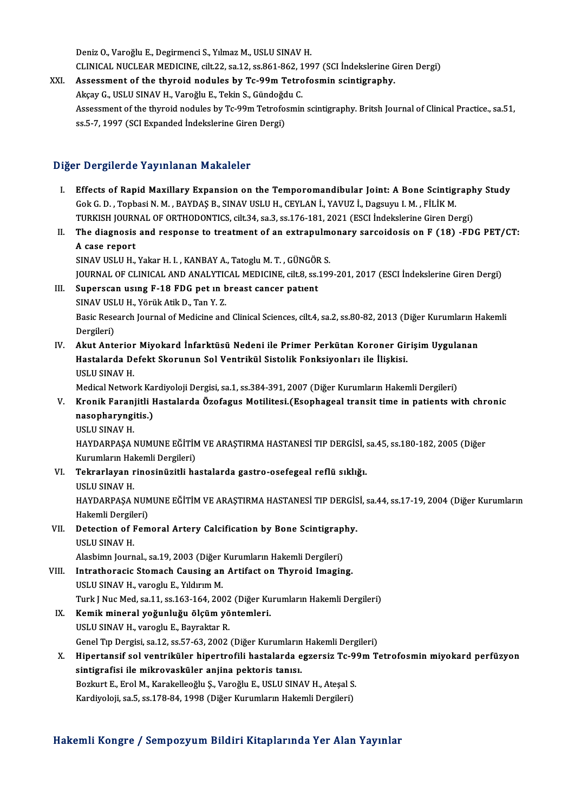Deniz O., Varoğlu E., Degirmenci S., Yılmaz M., USLU SINAV H. Deniz O., Varoğlu E., Degirmenci S., Yılmaz M., USLU SINAV H.<br>CLINICAL NUCLEAR MEDICINE, cilt.22, sa.12, ss.861-862, 1997 (SCI İndekslerine Giren Dergi)<br>Assessment of the thuneid nedules by Ts 99m Tetrefesmin seintispenby Deniz O., Varoğlu E., Degirmenci S., Yılmaz M., USLU SINAV H.<br>CLINICAL NUCLEAR MEDICINE, cilt.22, sa.12, ss.861-862, 1997 (SCI İndekslerine G<br>XXI. Assessment of the thyroid nodules by Tc-99m Tetrofosmin scintigraphy.<br>Altay

CLINICAL NUCLEAR MEDICINE, cilt.22, sa.12, ss.861-862, 1<br>Assessment of the thyroid nodules by Tc-99m Tetro<br>Akçay G., USLU SINAV H., Varoğlu E., Tekin S., Gündoğdu C.<br>Assessment of the thuroid nodules by Ta 99m Tetrofoamin Assessment of the thyroid nodules by Tc-99m Tetrofosmin scintigraphy.<br>Akçay G., USLU SINAV H., Varoğlu E., Tekin S., Gündoğdu C.<br>Assessment of the thyroid nodules by Tc-99m Tetrofosmin scintigraphy. Britsh Journal of Clini Akçay G., USLU SINAV H., Varoğlu E., Tekin S., Gündoğdu C.

### Diğer Dergilerde Yayınlanan Makaleler

- Iger Dergilerde Yayınlanan Makaleler<br>I. Effects of Rapid Maxillary Expansion on the Temporomandibular Joint: A Bone Scintigraphy Study<br>CekC D. Tephoci N.M. BAYDAS B. SINAV USLU H. CEVLAN L. YAVUZ L. Degeuru L.M. Eli İk M. Effects of Rapid Maxillary Expansion on the Temporomandibular Joint: A Bone Scintig:<br>Gok G. D. , Topbasi N.M. , BAYDAŞ B., SINAV USLU H., CEYLAN İ., YAVUZ İ., Dagsuyu I.M. , FİLİK M.<br>TURKISH JOURNAL OF ORTHODONIICS. silt 3 Effects of Rapid Maxillary Expansion on the Temporomandibular Joint: A Bone Scintigraph<br>Gok G. D. , Topbasi N. M. , BAYDAŞ B., SINAV USLU H., CEYLAN İ., YAVUZ İ., Dagsuyu I. M. , FİLİK M.<br>TURKISH JOURNAL OF ORTHODONTICS, c TURKISH JOURNAL OF ORTHODONTICS, cilt.34, sa.3, ss.176-181, 2021 (ESCI İndekslerine Giren Dergi)
- Gok G. D. , Topbasi N. M. , BAYDAŞ B., SINAV USLU H., CEYLAN İ., YAVUZ İ., Dagsuyu I. M. , FİLİK M.<br>TURKISH JOURNAL OF ORTHODONTICS, cilt.34, sa.3, ss.176-181, 2021 (ESCI İndekslerine Giren Dergi)<br>II. The diagnosis and res
	- SINAV USLU H., Yakar H. I., KANBAY A., Tatoglu M. T., GÜNGÖR S. A case report<br>SINAV USLU H., Yakar H. I. , KANBAY A., Tatoglu M. T. , GÜNGÖR S.<br>JOURNAL OF CLINICAL AND ANALYTICAL MEDICINE, cilt.8, ss.199-201, 2017 (ESCI İndekslerine Giren Dergi)<br>Sunanggan usung E 18 EDC net un broast s
- III. Superscan using F-18 FDG pet in breast cancer patient<br>SINAV USLU H., Yörük Atik D., Tan Y. Z. JOURNAL OF CLINICAL AND ANALYTIC<br>Superscan using F-18 FDG pet in b<br>SINAV USLU H., Yörük Atik D., Tan Y. Z.<br>Bosis Bessansk Journal of Medisine and Superscan using F-18 FDG pet in breast cancer patient<br>SINAV USLU H., Yörük Atik D., Tan Y. Z.<br>Basic Research Journal of Medicine and Clinical Sciences, cilt.4, sa.2, ss.80-82, 2013 (Diğer Kurumların Hakemli<br>Dergileri) SINAV USI<br>Basic Rese<br>Dergileri)<br>Akut Ante
- IV. Akut Anterior Miyokard İnfarktüsü Nedeni ile Primer Perkütan Koroner GirişimUygulanan Dergileri)<br>Akut Anterior Miyokard İnfarktüsü Nedeni ile Primer Perkütan Koroner Gir<br>Hastalarda Defekt Skorunun Sol Ventrikül Sistolik Fonksiyonları ile İlişkisi.<br>USULSMAV.H Akut Anterior<br>Hastalarda De<br>USLU SINAV H.<br>Medical Netwol USLU SINAV H.<br>Medical Network Kardiyoloji Dergisi, sa.1, ss.384-391, 2007 (Diğer Kurumların Hakemli Dergileri)

### V. Kronik Faranjitli Hastalarda Özofagus Motilitesi.(Esophageal transit time in patients with chronic Medical Network Ka<br><mark>Kronik Faranjitli I</mark><br>nasopharyngitis.)<br>USLU SIMAV H Kronik Faran<br>nasopharyngi<br>USLU SINAV H.<br>HAVDARRASA I

USLU SINAV H.<br>HAYDARPAŞA NUMUNE EĞİTİM VE ARAŞTIRMA HASTANESİ TIP DERGİSİ, sa.45, ss.180-182, 2005 (Diğer USLU SINAV H.<br>HAYDARPAŞA NUMUNE EĞİTİM<br>Kurumların Hakemli Dergileri)<br>Tekrarlayan rinasinüzitli ba

VI. Tekrarlayan rinosinüzitli hastalarda gastro-osefegeal reflü sıklığı. Kurumların Hal<br><mark>Tekrarlayan r</mark><br>USLU SINAV H.<br>HAYDARRASA I

Tekrarlayan rinosinüzitli hastalarda gastro-osefegeal reflü sıklığı.<br>USLU SINAV H.<br>HAYDARPAŞA NUMUNE EĞİTİM VE ARAŞTIRMA HASTANESİ TIP DERGİSİ, sa.44, ss.17-19, 2004 (Diğer Kurumların<br>Hakamli Dargilari) USLU SINAV H.<br>HAYDARPAŞA NUM<br>Hakemli Dergileri)<br>Patastion of Form HAYDARPAŞA NUMUNE EĞİTİM VE ARAŞTIRMA HASTANESİ TIP DERGİS<br>Hakemli Dergileri)<br>VII. Detection of Femoral Artery Calcification by Bone Scintigraphy.<br>USU U SINAV H

Hakemli Dergile<br>Detection of I<br>USLU SINAV H.<br>Alashimn Journ Detection of Femoral Artery Calcification by Bone Scintigrap.<br>USLU SINAV H.<br>Alasbimn Journal., sa.19, 2003 (Diğer Kurumların Hakemli Dergileri)<br>Intratheracis Stemash Causing an Artifast en Thureid Imagin

Alasbimn Journal., sa.19, 2003 (Diğer Kurumların Hakemli Dergileri)

- USLU SINAV H.<br>Alasbimn Journal., sa.19, 2003 (Diğer Kurumların Hakemli Dergileri)<br>VIII. Intrathoracic Stomach Causing an Artifact on Thyroid Imaging.<br>USLU SINAV H., varoglu E., Yıldırım M. Turk J Nuc Med, sa.11, ss.163-164, 2002 (Diğer Kurumların Hakemli Dergileri) USLU SINAV H., varoglu E., Yıldırım M.<br>Turk J Nuc Med, sa.11, ss.163-164, 2002 (Diğer Ku<br>IX. Kemik mineral yoğunluğu ölçüm yöntemleri.<br>IISLILSINAV H. varoslu E. Bayraktar B.
- Turk J Nuc Med, sa.11, ss.163-164, 2002<br>**Kemik mineral yoğunluğu ölçüm yö**<br>USLU SINAV H., varoglu E., Bayraktar R.<br>Cenel Tın Dergisi, sa.12, ss.57, 62, 2002. USLU SINAV H., varoglu E., Bayraktar R.<br>Genel Tıp Dergisi, sa.12, ss.57-63, 2002 (Diğer Kurumların Hakemli Dergileri)
- USLU SINAV H., varoglu E., Bayraktar R.<br>Genel Tıp Dergisi, sa.12, ss.57-63, 2002 (Diğer Kurumların Hakemli Dergileri)<br>X. Hipertansif sol ventriküler hipertrofili hastalarda egzersiz Tc-99m Tetrofosmin miyokard perfüzyo Genel Tıp Dergisi, sa.12, ss.57-63, 2002 (Diğer Kurumların<br>Hipertansif sol ventriküler hipertrofili hastalarda e<br>sintigrafisi ile mikrovasküler anjina pektoris tanısı.<br>Berluyt E. Enel M. Karakalleoğlu S. Vereğlu E. USU (US Hipertansif sol ventriküler hipertrofili hastalarda egzersiz Tc-9<br>sintigrafisi ile mikrovasküler anjina pektoris tanısı.<br>Bozkurt E., Erol M., Karakelleoğlu Ş., Varoğlu E., USLU SINAV H., Ateşal S.<br>Kardivalaji se 5 se 178 8 sintigrafisi ile mikrovasküler anjina pektoris tanısı.<br>Bozkurt E., Erol M., Karakelleoğlu Ş., Varoğlu E., USLU SINAV H., Ateşal S.<br>Kardiyoloji, sa.5, ss.178-84, 1998 (Diğer Kurumların Hakemli Dergileri)

### Hakemli Kongre / Sempozyum Bildiri Kitaplarında Yer Alan Yayınlar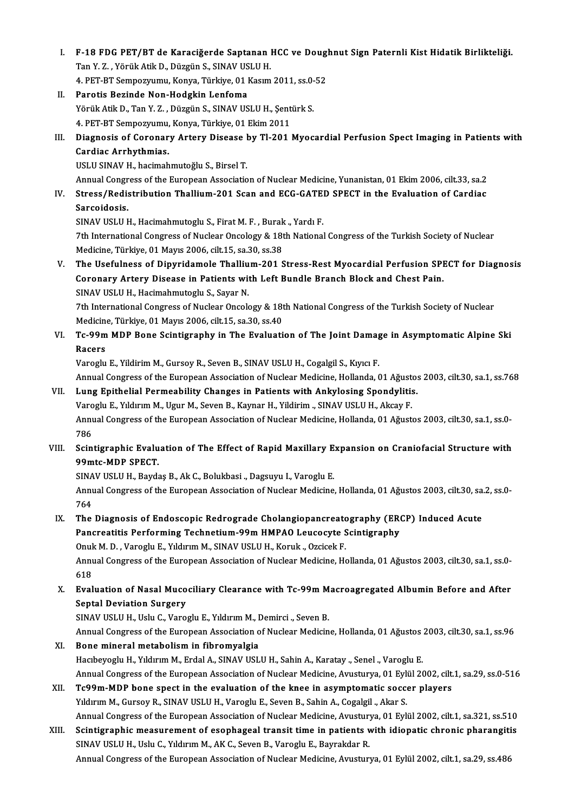- I. F-18 FDG PET/BT de Karaciğerde Saptanan HCC ve Doughnut Sign Paternli Kist Hidatik Birlikteliği. F-18 FDG PET/BT de Karaciğerde Saptanan<br>Tan Y. Z. , Yörük Atik D., Düzgün S., SINAV USLU H.<br>4. BET PT Semnewununu Kenye Türkiye 01 Kasım F-18 FDG PET/BT de Karaciğerde Saptanan HCC ve Dougl<br>Tan Y. Z. , Yörük Atik D., Düzgün S., SINAV USLU H.<br>4. PET-BT Sempozyumu, Konya, Türkiye, 01 Kasım 2011, ss.0-52<br>Peretis Berinde Nen Hodskin Lenfeme. Tan Y. Z. , Yörük Atik D., Düzgün S., SINAV USLU H.<br>4. PET-BT Sempozyumu, Konya, Türkiye, 01 Kasım 2011, ss.0-52<br>II. Parotis Bezinde Non-Hodgkin Lenfoma
- 4. PET-BT Sempozyumu, Konya, Türkiye, 01 Kasım 2011, ss.0-<br>Parotis Bezinde Non-Hodgkin Lenfoma<br>Yörük Atik D., Tan Y. Z. , Düzgün S., SINAV USLU H., Şentürk S.<br>4. PET PT Sempozyumu, Konya, Türkiye, 01 Ekim 2011 Parotis Bezinde Non-Hodgkin Lenfoma<br>Yörük Atik D., Tan Y. Z. , Düzgün S., SINAV USLU H., Şent<br>4. PET-BT Sempozyumu, Konya, Türkiye, 01 Ekim 2011<br>Diagnosis of Coronary Artory Disease by Tl 2011
- Yörük Atik D., Tan Y. Z. , Düzgün S., SINAV USLU H., Şentürk S.<br>1. PET-BT Sempozyumu, Konya, Türkiye, 01 Ekim 2011<br>III. Diagnosis of Coronary Artery Disease by Tl-201 Myocardial Perfusion Spect Imaging in Patients with 4. PET-BT Sempozyumu,<br>Diagnosis of Coronar<br>Cardiac Arrhythmias.<br>USU U SIMAV H. basimab Diagnosis of Coronary Artery Disease l<br>Cardiac Arrhythmias.<br>USLU SINAV H., hacimahmutoğlu S., Birsel T.<br>Annual Congrees of the Euronean Associatio Cardiac Arrhythmias.<br>USLU SINAV H., hacimahmutoğlu S., Birsel T.<br>Annual Congress of the European Association of Nuclear Medicine, Yunanistan, 01 Ekim 2006, cilt.33, sa.2<br>Stress (Rodistribution Thallium, 201, Ssan and ECC,

USLU SINAV H., hacimahmutoğlu S., Birsel T.<br>Annual Congress of the European Association of Nuclear Medicine, Yunanistan, 01 Ekim 2006, cilt.33, sa.2<br>IV. Stress/Redistribution Thallium-201 Scan and ECG-GATED SPECT in the Ev Annual Congr<br>Stress/Redis<br>Sarcoidosis.<br>SINAV USLU L Stress/Redistribution Thallium-201 Scan and ECG-GATE<br>Sarcoidosis.<br>SINAV USLU H., Hacimahmutoglu S., Firat M. F. , Burak., Yardı F.<br>7th International Congress of Nuclear Ongelegy & 19th National

Sarcoidosis.<br>SINAV USLU H., Hacimahmutoglu S., Firat M. F. , Burak ., Yardı F.<br>7th International Congress of Nuclear Oncology & 18th National Congress of the Turkish Society of Nuclear<br>Modisine, Türkiye, 01 Meyrs 2006, sil SINAV USLU H., Hacimahmutoglu S., Firat M. F. , Burak<br>7th International Congress of Nuclear Oncology & 18t<br>Medicine, Türkiye, 01 Mayıs 2006, cilt.15, sa.30, ss.38<br>The Heefylness of Dinyuidemale Thellium 201.5 The International Congress of Nuclear Oncology & 18th National Congress of the Turkish Society of Nuclear<br>Medicine, Türkiye, 01 Mayıs 2006, cilt.15, sa.30, ss.38<br>V. The Usefulness of Dipyridamole Thallium-201 Stress-Rest M

Medicine, Türkiye, 01 Mayıs 2006, cilt.15, sa.30, ss.38<br>The Usefulness of Dipyridamole Thallium-201 Stress-Rest Myocardial Perfusion SPI<br>Coronary Artery Disease in Patients with Left Bundle Branch Block and Chest Pain.<br>SIN The Usefulness of Dipyridamole Thalliu<br>Coronary Artery Disease in Patients with<br>SINAV USLU H., Hacimahmutoglu S., Sayar N.<br>7th International Congress of Nuclear Ongols

Coronary Artery Disease in Patients with Left Bundle Branch Block and Chest Pain.<br>SINAV USLU H., Hacimahmutoglu S., Sayar N.<br>7th International Congress of Nuclear Oncology & 18th National Congress of the Turkish Society of SINAV USLU H., Hacimahmutoglu S., Sayar N.<br>7th International Congress of Nuclear Oncology & 18t<br>Medicine, Türkiye, 01 Mayıs 2006, cilt.15, sa.30, ss.40<br>Te 99m MDB Bone Ssintignanbu in The Evaluati 7th International Congress of Nuclear Oncology & 18th National Congress of the Turkish Society of Nuclear<br>Medicine, Türkiye, 01 Mayıs 2006, cilt.15, sa.30, ss.40<br>VI. Tc-99m MDP Bone Scintigraphy in The Evaluation of The Jo

Medicine, Türkiye, 01 Mayıs 2006, cilt.15, sa.30, ss.40<br>Tc-99m MDP Bone Scintigraphy in The Evaluation of The Joint Damage in Asymptomatic Alpine Ski<br>Racers Racers<br>Varoglu E., Yildirim M., Gursoy R., Seven B., SINAV USLU H., Cogalgil S., Kıyıcı F.<br>Annual Congress of the European Association of Nuclear Medicine, Hollanda, 01 Ağustos 2003, cilt.30, sa.1, ss.768<br>Lung Enithelial P

Varoglu E., Yildirim M., Gursoy R., Seven B., SINAV USLU H., Cogalgil S., Kıyıcı F.

VII. Lung Epithelial Permeability Changes in Patients with Ankylosing Spondylitis. Annual Congress of the European Association of Nuclear Medicine, Hollanda, 01 Ağust<br>Lung Epithelial Permeability Changes in Patients with Ankylosing Spondylitis<br>Varoglu E., Yıldırım M., Ugur M., Seven B., Kaynar H., Yildir Annual Congress of the European Association of Nuclear Medicine, Hollanda, 01 Ağustos 2003, cilt.30, sa.1, ss.0-<br>786 Varoglu E., Yıldırım M., Ugur M., Seven B., Kaynar H., Yildirim ., SINAV USLU H., Akcay F. Annual Congress of the European Association of Nuclear Medicine, Hollanda, 01 Ağustos 2003, cilt.30, sa.1, ss.0-<br>786<br>VIII. Scintigraphic Evaluation of The Effect of Rapid Maxillary Expansion on Craniofacial Structure with<br>

# 786<br>Scintigraphic Evalu<br>99mtc-MDP SPECT.<br>SINAV USLU H-Porde Scintigraphic Evaluation of The Effect of Rapid Maxillary E<br>99mtc-MDP SPECT.<br>SINAV USLU H., Baydaş B., Ak C., Bolukbasi ., Dagsuyu I., Varoglu E.<br>Annual Congress of the European Association of Nuclear Medicine

99mtc-MDP SPECT.<br>SINAV USLU H., Baydaş B., Ak C., Bolukbasi ., Dagsuyu I., Varoglu E.<br>Annual Congress of the European Association of Nuclear Medicine, Hollanda, 01 Ağustos 2003, cilt.30, sa.2, ss.0-SINA<br>Anni<br>764<br>The Annual Congress of the European Association of Nuclear Medicine, Hollanda, 01 Ağustos 2003, cilt.30, sa<br>764<br>IX. The Diagnosis of Endoscopic Redrograde Cholangiopancreatography (ERCP) Induced Acute<br>Representitie Benforming

# 764<br>The Diagnosis of Endoscopic Redrograde Cholangiopancreatography (ER)<br>Pancreatitis Performing Technetium-99m HMPAO Leucocyte Scintigraphy<br>Onuk M.D. Verecku E. Vilduum M. SINAV USUU H. Kenuk, Orejeck E. The Diagnosis of Endoscopic Redrograde Cholangiopancreate<br>Pancreatitis Performing Technetium-99m HMPAO Leucocyte S<br>Onuk M. D. , Varoglu E., Yıldırım M., SINAV USLU H., Koruk., Ozcicek F.<br>Annual Congress of the European Ass

Pancreatitis Performing Technetium-99m HMPAO Leucocyte Scintigraphy<br>Onuk M. D. , Varoglu E., Yıldırım M., SINAV USLU H., Koruk ., Ozcicek F.<br>Annual Congress of the European Association of Nuclear Medicine, Hollanda, 01 Ağu Onuk M. D. , Varoglu E., Yıldırım M., SINAV USLU H., Koruk ., Ozcicek F.<br>Annual Congress of the European Association of Nuclear Medicine, Ho<br>618 Annual Congress of the European Association of Nuclear Medicine, Hollanda, 01 Ağustos 2003, cilt.30, sa.1, ss.0-<br>618<br>X. Evaluation of Nasal Mucociliary Clearance with Tc-99m Macroagregated Albumin Before and After<br>Septel D

## X. Evaluation of Nasal Mucociliary Clearance with Tc-99m Macroagregated Albumin Before and After<br>Septal Deviation Surgery

SINAV USLU H., Uslu C., Varoglu E., Yıldırım M., Demirci ., Seven B.

Septal Deviation Surgery<br>SINAV USLU H., Uslu C., Varoglu E., Yıldırım M., Demirci ., Seven B.<br>Annual Congress of the European Association of Nuclear Medicine, Hollanda, 01 Ağustos 2003, cilt.30, sa.1, ss.96<br>Bone mineral me

SINAV USLU H., Uslu C., Varoglu E., Yıldırım M., I<br>Annual Congress of the European Association of<br>XI. Bone mineral metabolism in fibromyalgia<br>Hogbovoglu H. Yıldırım M. Erdal A. SINAV USL Annual Congress of the European Association of Nuclear Medicine, Hollanda, 01 Ağustos<br>Bone mineral metabolism in fibromyalgia<br>Hacıbeyoglu H., Yıldırım M., Erdal A., SINAV USLU H., Sahin A., Karatay ., Senel ., Varoglu E.<br>A Bone mineral metabolism in fibromyalgia<br>Hacıbeyoglu H., Yıldırım M., Erdal A., SINAV USLU H., Sahin A., Karatay ., Senel ., Varoglu E.<br>Annual Congress of the European Association of Nuclear Medicine, Avusturya, 01 Eylül 20 Hacıbeyoglu H., Yıldırım M., Erdal A., SINAV USLU H., Sahin A., Karatay ., Senel ., Varoglu E.<br>Annual Congress of the European Association of Nuclear Medicine, Avusturya, 01 Eylül 2002, cilt<br>XII. Tc99m-MDP bone spect in th

Annual Congress of the European Association of Nuclear Medicine, Avusturya, 01 Eyl<br>Tc99m-MDP bone spect in the evaluation of the knee in asymptomatic socce<br>Yıldırım M., Gursoy R., SINAV USLU H., Varoglu E., Seven B., Sahin Tc99m-MDP bone spect in the evaluation of the knee in asymptomatic soccer players<br>Yıldırım M., Gursoy R., SINAV USLU H., Varoglu E., Seven B., Sahin A., Cogalgil ., Akar S.<br>Annual Congress of the European Association of Nu Yıldırım M., Gursoy R., SINAV USLU H., Varoglu E., Seven B., Sahin A., Cogalgil ., Akar S.<br>Annual Congress of the European Association of Nuclear Medicine, Avusturya, 01 Eylül 2002, cilt.1, sa.321, ss.510<br>XIII. Scintigraph

# Annual Congress of the European Association of Nuclear Medicine, Avustury<br>Scintigraphic measurement of esophageal transit time in patients v<br>SINAV USLU H., Uslu C., Yıldırım M., AK C., Seven B., Varoglu E., Bayrakdar R.<br>An Scintigraphic measurement of esophageal transit time in patients with idiopatic chronic pharangitis<br>SINAV USLU H., Uslu C., Yıldırım M., AK C., Seven B., Varoglu E., Bayrakdar R.<br>Annual Congress of the European Association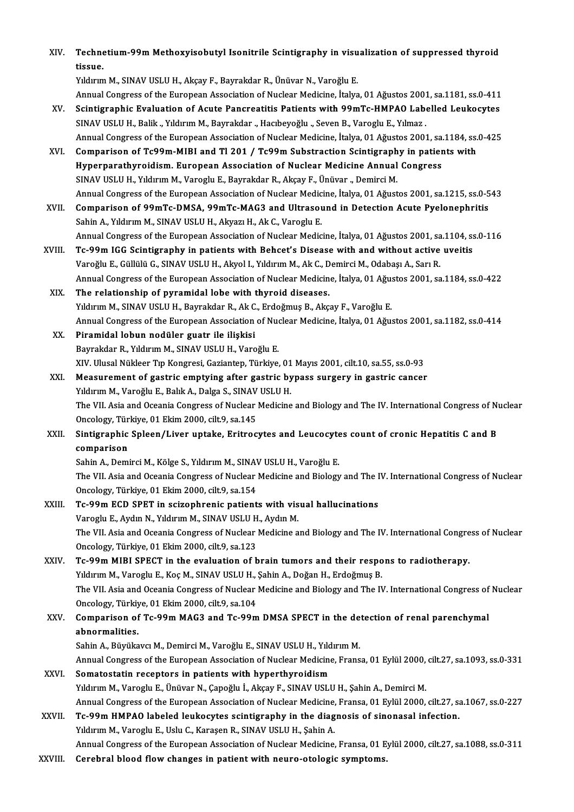XIV. Technetium-99m Methoxyisobutyl Isonitrile Scintigraphy in visualization of suppressed thyroid<br>tissue Techne<br>tissue.<br><sup>Vilduuw</sup> Technetium-99m Methoxyisobutyl Isonitrile Scintigraphy in visu<br>tissue.<br>Yıldırım M., SINAV USLU H., Akçay F., Bayrakdar R., Ünüvar N., Varoğlu E.<br>Annual Congress of the European Association of Nuclear Medicine, İtalya

tissue.<br>Yıldırım M., SINAV USLU H., Akçay F., Bayrakdar R., Ünüvar N., Varoğlu E.<br>Annual Congress of the European Association of Nuclear Medicine, İtalya, 01 Ağustos 2001, sa.1181, ss.0-411<br>Seintigraphia Evaluation of Agut

- Yıldırım M., SINAV USLU H., Akçay F., Bayrakdar R., Ünüvar N., Varoğlu E.<br>Annual Congress of the European Association of Nuclear Medicine, İtalya, 01 Ağustos 2001, sa.1181, ss.0-411<br>XV. Scintigraphic Evaluation of Acute Pa Annual Congress of the European Association of Nuclear Medicine, İtalya, 01 Ağustos 2001<br>Scintigraphic Evaluation of Acute Pancreatitis Patients with 99mTc-HMPAO Labe<br>SINAV USLU H., Balik., Yıldırım M., Bayrakdar ., Hacıbe Scintigraphic Evaluation of Acute Pancreatitis Patients with 99mTc-HMPAO Labelled Leukocytes<br>SINAV USLU H., Balik ., Yıldırım M., Bayrakdar ., Hacıbeyoğlu ., Seven B., Varoglu E., Yılmaz .<br>Annual Congress of the European A SINAV USLU H., Balik ., Yıldırım M., Bayrakdar ., Hacıbeyoğlu ., Seven B., Varoglu E., Yılmaz .<br>Annual Congress of the European Association of Nuclear Medicine, İtalya, 01 Ağustos 2001, sa.1184, ss.<br>XVI. Comparison of Tc99
- Annual Congress of the European Association of Nuclear Medicine, İtalya, 01 Ağustos 2001, sa.<br>Comparison of Tc99m-MIBI and Tl 201 / Tc99m Substraction Scintigraphy in patier<br>Hyperparathyroidism. European Association of Nuc Comparison of Tc99m-MIBI and T1 201 / Tc99m Substraction Scintigraphy in patients with<br>Hyperparathyroidism. European Association of Nuclear Medicine Annual Congress<br>SINAV USLU H., Yıldırım M., Varoglu E., Bayrakdar R., Akç Annual Congress of the European Association of Nuclear Medicine, İtalya, 01 Ağustos 2001, sa.1215, ss.0-543
- XVII. Comparison of 99mTc-DMSA, 99mTc-MAG3 and Ultrasound in Detection Acute Pyelonephritis Sahin A., Yıldırım M., SINAV USLU H., Akyazı H., Ak C., Varoglu E. Comparison of 99mTc-DMSA, 99mTc-MAG3 and Ultrasound in Detection Acute Pyelonephritis<br>Sahin A., Yıldırım M., SINAV USLU H., Akyazı H., Ak C., Varoglu E.<br>Annual Congress of the European Association of Nuclear Medicine, İtal Sahin A., Yıldırım M., SINAV USLU H., Akyazı H., Ak C., Varoglu E.<br>Annual Congress of the European Association of Nuclear Medicine, İtalya, 01 Ağustos 2001, sa.1104, ss<br>XVIII. Tc-99m IGG Scintigraphy in patients w
- Annual Congress of the European Association of Nuclear Medicine, İtalya, 01 Ağustos 2001, sa<br>Tc-99m IGG Scintigraphy in patients with Behcet's Disease with and without active<br>Varoğlu E., Güllülü G., SINAV USLU H., Akyol I. Tc-99m IGG Scintigraphy in patients with Behcet's Disease with and without active uveitis<br>Varoğlu E., Güllülü G., SINAV USLU H., Akyol I., Yıldırım M., Ak C., Demirci M., Odabaşı A., Sarı R.<br>Annual Congress of the European Varoğlu E., Güllülü G., SINAV USLU H., Akyol I., Yıldırım M., Ak C., Demirci M., Odabaşı A., Sarı R.<br>Annual Congress of the European Association of Nuclear Medicine, İtalya, 01 Ağustos 2001, sa<br>XIX. The relationship of
- Annual Congress of the European Association of Nuclear Medicine, İtalya, 01 Ağu:<br>The relationship of pyramidal lobe with thyroid diseases.<br>Yıldırım M., SINAV USLU H., Bayrakdar R., Ak C., Erdoğmuş B., Akçay F., Varoğlu E.<br> The relationship of pyramidal lobe with thyroid diseases.<br>Yıldırım M., SINAV USLU H., Bayrakdar R., Ak C., Erdoğmuş B., Akçay F., Varoğlu E.<br>Annual Congress of the European Association of Nuclear Medicine, İtalya, 01 Ağust Yıldırım M., SINAV USLU H., Bayrakdar R., Ak C<br>Annual Congress of the European Association<br>XX. Piramidal lobun nodüler guatr ile ilişkisi<br>Payrakdar B. Yıldırım M. SINAV USLU H. Vare
- Annual Congress of the European Association of Nuo<br>Piramidal lobun nodüler guatr ile ilişkisi<br>Bayrakdar R., Yıldırım M., SINAV USLU H., Varoğlu E.<br>XIV. Ulusal Nükleer Tın Kongresi Cagianten Türkiye Piramidal lobun nodüler guatr ile ilişkisi<br>Bayrakdar R., Yıldırım M., SINAV USLU H., Varoğlu E.<br>XIV. Ulusal Nükleer Tıp Kongresi, Gaziantep, Türkiye, 01 Mayıs 2001, cilt.10, sa.55, ss.0-93<br>Measurement of gastris emptying a Bayrakdar R., Yıldırım M., SINAV USLU H., Varoğlu E.<br>XIV. Ulusal Nükleer Tıp Kongresi, Gaziantep, Türkiye, 01 Mayıs 2001, cilt.10, sa.55, ss.0-93<br>XXI. Measurement of gastric emptying after gastric bypass surgery in gastric
- XIV. Ulusal Nükleer Tıp Kongresi, Gaziantep, Türkiye, 01<br>Measurement of gastric emptying after gastric by<br>Yıldırım M., Varoğlu E., Balık A., Dalga S., SINAV USLU H.<br>The VII. Asia and Ossania Congress of Nuslear Medisine Measurement of gastric emptying after gastric bypass surgery in gastric cancer<br>Yıldırım M., Varoğlu E., Balık A., Dalga S., SINAV USLU H.<br>The VII. Asia and Oceania Congress of Nuclear Medicine and Biology and The IV. Inter Yıldırım M., Varoğlu E., Balık A., Dalga S., SINAV USLU H. The VII. Asia and Oceania Congress of Nuclear Medicine and Biology and The IV. International Congress of Nu<br>Oncology, Türkiye, 01 Ekim 2000, cilt.9, sa.145<br>XXII. Sintigraphic Spleen/Liver uptake, Eritrocytes and Leucocytes
- Oncology, Türkiye, 01 Ekim 2000, cilt.9, sa.145<br>Sintigraphic Spleen/Liver uptake, Eritrocytes and Leucocyte<br>comparison<br>Sahin A., Demirci M., Kölge S., Yıldırım M., SINAV USLU H., Varoğlu E. Sintigraphic Spleen/Liver uptake, Eritrocytes and Leucocytes count of cronic Hepatitis C and B

The VII. Asia and Oceania Congress of Nuclear Medicine and Biology and The IV. International Congress of Nuclear Oncology,Türkiye,01Ekim2000, cilt.9, sa.154 The VII. Asia and Oceania Congress of Nuclear Medicine and Biology and The I<br>Oncology, Türkiye, 01 Ekim 2000, cilt.9, sa.154<br>XXIII. Tc-99m ECD SPET in scizophrenic patients with visual hallucinations<br>Verschu E. Ardın N. Yı

- Oncology, Türkiye, 01 Ekim 2000, cilt.9, sa.154<br>Tc-99m ECD SPET in scizophrenic patients with vis<br>Varoglu E., Aydın N., Yıldırım M., SINAV USLU H., Aydın M.<br>The VII. Asia and Ossanis Congress of Nuslear Medisine s Tc-99m ECD SPET in scizophrenic patients with visual hallucinations<br>Varoglu E., Aydın N., Yıldırım M., SINAV USLU H., Aydın M.<br>The VII. Asia and Oceania Congress of Nuclear Medicine and Biology and The IV. International Co Varoglu E., Aydın N., Yıldırım M., SINAV USLU H<br>The VII. Asia and Oceania Congress of Nuclear<br>Oncology, Türkiye, 01 Ekim 2000, cilt.9, sa.123<br>Te 99m MIBI SBEGT in the svaluation of h The VII. Asia and Oceania Congress of Nuclear Medicine and Biology and The IV. International Congre<br>Oncology, Türkiye, 01 Ekim 2000, cilt.9, sa.123<br>XXIV. Tc-99m MIBI SPECT in the evaluation of brain tumors and their respon
- Oncology, Türkiye, 01 Ekim 2000, cilt.9, sa.123<br>Tc-99m MIBI SPECT in the evaluation of brain tumors and their respo<br>Yıldırım M., Varoglu E., Koç M., SINAV USLU H., Şahin A., Doğan H., Erdoğmuş B.<br>The VII. Asia and Oseania Tc-99m MIBI SPECT in the evaluation of brain tumors and their respons to radiotherapy.<br>Yıldırım M., Varoglu E., Koç M., SINAV USLU H., Şahin A., Doğan H., Erdoğmuş B.<br>The VII. Asia and Oceania Congress of Nuclear Medicine Yıldırım M., Varoglu E., Koç M., SINAV USLU H.,<br>The VII. Asia and Oceania Congress of Nuclear<br>Oncology, Türkiye, 01 Ekim 2000, cilt.9, sa.104<br>Comparison of Ts.99m MAC3 and Ts.99m The VII. Asia and Oceania Congress of Nuclear Medicine and Biology and The IV. International Congress of<br>Oncology, Türkiye, 01 Ekim 2000, cilt.9, sa.104<br>XXV. Comparison of Tc-99m MAG3 and Tc-99m DMSA SPECT in the detection

## Oncology, Türkiy<br>Comparison of<br>abnormalities.<br>Sabin A. Büyüka Comparison of Tc-99m MAG3 and Tc-99m DMSA SPECT in the de<br>abnormalities.<br>Sahin A., Büyükavcı M., Demirci M., Varoğlu E., SINAV USLU H., Yıldırım M.<br>Annual Congress of the Euronean Assosiation of Nuclear Medicine, Erans abnormalities.<br>Sahin A., Büyükavcı M., Demirci M., Varoğlu E., SINAV USLU H., Yıldırım M.<br>Annual Congress of the European Association of Nuclear Medicine, Fransa, 01 Eylül 2000, cilt.27, sa.1093, ss.0-331<br>Sematestatin nese

- Sahin A., Büyükavcı M., Demirci M., Varoğlu E., SINAV USLU H., Yıldırım M.<br>Annual Congress of the European Association of Nuclear Medicine, Fransa, 01 Eylül 2000,<br>XXVI. Somatostatin receptors in patients with hyperthyroidi Annual Congress of the European Association of Nuclear Medicine, Fransa, 01 Eylül 2000,<br>Somatostatin receptors in patients with hyperthyroidism<br>Yıldırım M., Varoglu E., Ünüvar N., Çapoğlu İ., Akçay F., SINAV USLU H., Şahin Annual Congress of the European Association of Nuclear Medicine, Fransa, 01 Eylül 2000, cilt.27, sa.1067, ss.0-227 Yıldırım M., Varoglu E., Ünüvar N., Çapoğlu İ., Akçay F., SINAV USLU H., Şahin A., Demirci M.<br>Annual Congress of the European Association of Nuclear Medicine, Fransa, 01 Eylül 2000, cilt.27, sa<br>XXVII. Tc-99m HMPAO labeled
- Annual Congress of the European Association of Nuclear Medicine,<br>Tc-99m HMPAO labeled leukocytes scintigraphy in the diag<br>Yıldırım M., Varoglu E., Uslu C., Karaşen R., SINAV USLU H., Şahin A.<br>Annual Congress of the Europea Yıldırım M., Varoglu E., Uslu C., Karaşen R., SINAV USLU H., Şahin A.<br>Annual Congress of the European Association of Nuclear Medicine, Fransa, 01 Eylül 2000, cilt.27, sa.1088, ss.0-311
- XXVIII. Cerebral blood flow changes in patient with neuro-otologic symptoms.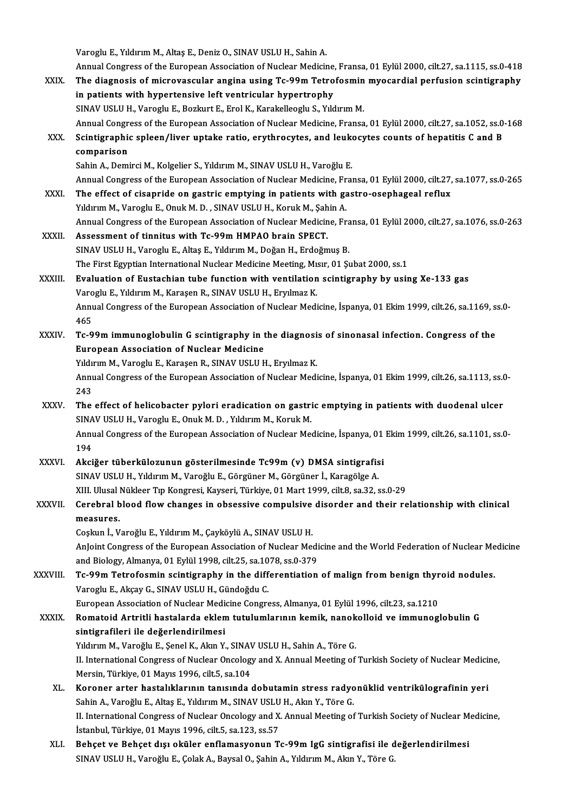Varoglu E., Yıldırım M., Altaş E., Deniz O., SINAV USLU H., Sahin A.<br>Annual Congress of the European Association of Nuglean Medicin

|              | Varoglu E., Yıldırım M., Altaş E., Deniz O., SINAV USLU H., Sahin A.                                               |
|--------------|--------------------------------------------------------------------------------------------------------------------|
|              | Annual Congress of the European Association of Nuclear Medicine, Fransa, 01 Eylül 2000, cilt.27, sa.1115, ss.0-418 |
| XXIX.        | The diagnosis of microvascular angina using Tc-99m Tetrofosmin myocardial perfusion scintigraphy                   |
|              | in patients with hypertensive left ventricular hypertrophy                                                         |
|              | SINAV USLU H., Varoglu E., Bozkurt E., Erol K., Karakelleoglu S., Yıldırım M.                                      |
|              | Annual Congress of the European Association of Nuclear Medicine, Fransa, 01 Eylül 2000, cilt.27, sa.1052, ss.0-168 |
| XXX.         | Scintigraphic spleen/liver uptake ratio, erythrocytes, and leukocytes counts of hepatitis C and B                  |
|              | comparison                                                                                                         |
|              | Sahin A., Demirci M., Kolgelier S., Yıldırım M., SINAV USLU H., Varoğlu E.                                         |
|              | Annual Congress of the European Association of Nuclear Medicine, Fransa, 01 Eylül 2000, cilt.27, sa.1077, ss.0-265 |
| XXXI.        | The effect of cisapride on gastric emptying in patients with gastro-osephageal reflux                              |
|              | Yıldırım M., Varoglu E., Onuk M. D., SINAV USLU H., Koruk M., Şahin A.                                             |
|              | Annual Congress of the European Association of Nuclear Medicine, Fransa, 01 Eylül 2000, cilt.27, sa.1076, ss.0-263 |
| XXXII.       | Assessment of tinnitus with Tc-99m HMPAO brain SPECT.                                                              |
|              | SINAV USLU H., Varoglu E., Altaş E., Yıldırım M., Doğan H., Erdoğmuş B.                                            |
|              | The First Egyptian International Nuclear Medicine Meeting, Mısır, 01 Şubat 2000, ss.1                              |
| XXXIII.      | Evaluation of Eustachian tube function with ventilation scintigraphy by using Xe-133 gas                           |
|              | Varoglu E., Yıldırım M., Karaşen R., SINAV USLU H., Eryılmaz K.                                                    |
|              | Annual Congress of the European Association of Nuclear Medicine, İspanya, 01 Ekim 1999, cilt.26, sa.1169, ss.0-    |
|              | 465                                                                                                                |
| XXXIV.       | Tc-99m immunoglobulin G scintigraphy in the diagnosis of sinonasal infection. Congress of the                      |
|              | <b>European Association of Nuclear Medicine</b>                                                                    |
|              | Yıldırım M., Varoglu E., Karaşen R., SINAV USLU H., Eryılmaz K.                                                    |
|              | Annual Congress of the European Association of Nuclear Medicine, İspanya, 01 Ekim 1999, cilt.26, sa.1113, ss.0-    |
|              | 243                                                                                                                |
| <b>XXXV</b>  | The effect of helicobacter pylori eradication on gastric emptying in patients with duodenal ulcer                  |
|              | SINAV USLU H., Varoglu E., Onuk M. D., Yıldırım M., Koruk M.                                                       |
|              | Annual Congress of the European Association of Nuclear Medicine, İspanya, 01 Ekim 1999, cilt.26, sa.1101, ss.0-    |
|              | 194                                                                                                                |
| <b>XXXVI</b> | Akciğer tüberkülozunun gösterilmesinde Tc99m (v) DMSA sintigrafisi                                                 |
|              | SINAV USLU H., Yıldırım M., Varoğlu E., Görgüner M., Görgüner İ., Karagölge A.                                     |
|              | XIII. Ulusal Nükleer Tıp Kongresi, Kayseri, Türkiye, 01 Mart 1999, cilt.8, sa.32, ss.0-29                          |
| XXXVII.      | Cerebral blood flow changes in obsessive compulsive disorder and their relationship with clinical                  |
|              | measures.                                                                                                          |
|              | Coşkun İ., Varoğlu E., Yıldırım M., Çayköylü A., SINAV USLU H.                                                     |
|              | AnJoint Congress of the European Association of Nuclear Medicine and the World Federation of Nuclear Medicine      |
|              | and Biology, Almanya, 01 Eylül 1998, cilt.25, sa.1078, ss.0-379                                                    |
| XXXVIII.     | Tc-99m Tetrofosmin scintigraphy in the differentiation of malign from benign thyroid nodules.                      |
|              | Varoglu E., Akçay G., SINAV USLU H., Gündoğdu C.                                                                   |
|              | European Association of Nuclear Medicine Congress, Almanya, 01 Eylül 1996, cilt.23, sa.1210                        |
| <b>XXXIX</b> | Romatoid Artritli hastalarda eklem tutulumlarının kemik, nanokolloid ve immunoglobulin G                           |
|              | sintigrafileri ile değerlendirilmesi                                                                               |
|              | Yıldırım M., Varoğlu E., Şenel K., Akın Y., SINAV USLU H., Sahin A., Töre G.                                       |
|              | II. International Congress of Nuclear Oncology and X. Annual Meeting of Turkish Society of Nuclear Medicine,       |
|              | Mersin, Türkiye, 01 Mayıs 1996, cilt 5, sa 104                                                                     |
| XL.          | Koroner arter hastalıklarının tanısında dobutamin stress radyonüklid ventrikülografinin yeri                       |
|              | Sahin A., Varoğlu E., Altaş E., Yıldırım M., SINAV USLU H., Akın Y., Töre G.                                       |
|              | II. International Congress of Nuclear Oncology and X. Annual Meeting of Turkish Society of Nuclear Medicine,       |
|              | İstanbul, Türkiye, 01 Mayıs 1996, cilt.5, sa.123, ss.57                                                            |
| XLI.         | Behçet ve Behçet dışı oküler enflamasyonun Tc-99m IgG sintigrafisi ile değerlendirilmesi                           |
|              | SINAV USLU H., Varoğlu E., Çolak A., Baysal O., Şahin A., Yıldırım M., Akın Y., Töre G.                            |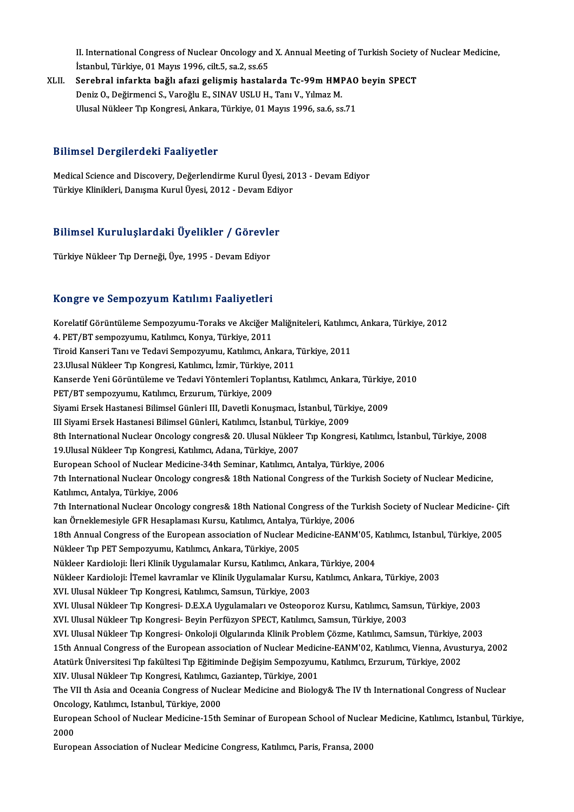II. International Congress of Nuclear Oncology and X. Annual Meeting of Turkish Society of Nuclear Medicine,<br>Istanbul, Türkiye, 01 Mayıs 1996, silt E. 32 2 865. II. International Congress of Nuclear Oncology and<br>İstanbul, Türkiye, 01 Mayıs 1996, cilt.5, sa.2, ss.65<br>Senebuel infonkte beğlı eferi gelişmiş bestele II. International Congress of Nuclear Oncology and X. Annual Meeting of Turkish Society<br>İstanbul, Türkiye, 01 Mayıs 1996, cilt.5, sa.2, ss.65<br>XLII. Serebral infarkta bağlı afazi gelişmiş hastalarda Tc-99m HMPAO beyin SPECT

İstanbul, Türkiye, 01 Mayıs 1996, cilt.5, sa.2, ss.65<br>Serebral infarkta bağlı afazi gelişmiş hastalarda Tc-99m HMPAO beyin SPECT<br>Deniz O., Değirmenci S., Varoğlu E., SINAV USLU H., Tanı V., Yılmaz M. Ulusal Nükleer Tıp Kongresi, Ankara, Türkiye, 01 Mayıs 1996, sa.6, ss.71

#### Bilimsel Dergilerdeki Faaliyetler

Medical Science and Discovery, Değerlendirme Kurul Üyesi, 2013 - Devam Ediyor Türkiye Klinikleri, Danışma Kurul Üyesi, 2012 - Devam Ediyor

# rurkiye Kiinikieri, Danişma Kurul Oyesi, 2012 - Devam Ediy<br>Bilimsel Kuruluşlardaki Üyelikler / Görevler Bilimsel Kuruluşlardaki Üyelikler / Görevle<br>Türkiye Nükleer Tıp Derneği, Üye, 1995 - Devam Ediyor

# Türkiye Nükleer Tıp Derneği, Üye, 1995 - Devam Ediyor<br>Kongre ve Sempozyum Katılımı Faaliyetleri

K<mark>ongre ve Sempozyum Katılımı Faaliyetleri</mark><br>Korelatif Görüntüleme Sempozyumu-Toraks ve Akciğer Maliğniteleri, Katılımcı, Ankara, Türkiye, 2012<br>4. PET/PT semporuumu Katılımcı Konya Türkiye, 2011 1.<br>1. Korelatif Görüntüleme Sempozyumu-Toraks ve Akciğer<br>4. PET/BT sempozyumu, Katılımcı, Konya, Türkiye, 2011<br>Tiroid Kanseri Tanı ve Tedevi Sempozyumu, Katılımcı, An Korelatif Görüntüleme Sempozyumu-Toraks ve Akciğer Maliğniteleri, Katılımc<br>4. PET/BT sempozyumu, Katılımcı, Konya, Türkiye, 2011<br>Tiroid Kanseri Tanı ve Tedavi Sempozyumu, Katılımcı, Ankara, Türkiye, 2011<br>22 Ulusal Nükleer 4. PET/BT sempozyumu, Katılımcı, Konya, Türkiye, 2011<br>Tiroid Kanseri Tanı ve Tedavi Sempozyumu, Katılımcı, Ankara, Türkiye, 2011 Tiroid Kanseri Tanı ve Tedavi Sempozyumu, Katılımcı, Ankara, Türkiye, 2011<br>23.Ulusal Nükleer Tıp Kongresi, Katılımcı, İzmir, Türkiye, 2011<br>Kanserde Yeni Görüntüleme ve Tedavi Yöntemleri Toplantısı, Katılımcı, Ankara, Türki 23.Ulusal Nükleer Tıp Kongresi, Katılımcı, İzmir, Türkiye, 2011<br>Kanserde Yeni Görüntüleme ve Tedavi Yöntemleri Toplantısı, I<br>PET/BT sempozyumu, Katılımcı, Erzurum, Türkiye, 2009 Kanserde Yeni Görüntüleme ve Tedavi Yöntemleri Toplantısı, Katılımcı, Ankara, Türkiye<br>PET/BT sempozyumu, Katılımcı, Erzurum, Türkiye, 2009<br>Siyami Ersek Hastanesi Bilimsel Günleri III, Davetli Konuşmacı, İstanbul, Türkiye, Siyami Ersek Hastanesi Bilimsel Günleri III, Davetli Konuşmacı, İstanbul, Türkiye, 2009<br>III Siyami Ersek Hastanesi Bilimsel Günleri, Katılımcı, İstanbul, Türkiye, 2009 Siyami Ersek Hastanesi Bilimsel Günleri III, Davetli Konuşmacı, İstanbul, Türkiye, 2009<br>III Siyami Ersek Hastanesi Bilimsel Günleri, Katılımcı, İstanbul, Türkiye, 2009<br>8th International Nuclear Oncology congres& 20. Ulusal III Siyami Ersek Hastanesi Bilimsel Günleri, Katılımcı, İstanbul, Ti<br>8th International Nuclear Oncology congres& 20. Ulusal Nükleer<br>19.Ulusal Nükleer Tıp Kongresi, Katılımcı, Adana, Türkiye, 2007<br>European School of Nuclear 8th International Nuclear Oncology congres& 20. Ulusal Nükleer Tıp Kongresi, Katılım<br>19.Ulusal Nükleer Tıp Kongresi, Katılımcı, Adana, Türkiye, 2007<br>European School of Nuclear Medicine-34th Seminar, Katılımcı, Antalya, Tür 19.Ulusal Nükleer Tıp Kongresi, Katılımcı, Adana, Türkiye, 2007<br>European School of Nuclear Medicine-34th Seminar, Katılımcı, Antalya, Türkiye, 2006<br>7th International Nuclear Oncology congres& 18th National Congress of the European School of Nuclear Med<br>7th International Nuclear Oncolo<br>Katılımcı, Antalya, Türkiye, 2006<br><sup>7th</sup> International Nuclear Oncolo 7th International Nuclear Oncology congres& 18th National Congress of the Turkish Society of Nuclear Medicine,<br>Katılımcı, Antalya, Türkiye, 2006<br>7th International Nuclear Oncology congres& 18th National Congress of the Tur Katılımcı, Antalya, Türkiye, 2006<br>7th International Nuclear Oncology congres& 18th National Congress of the Tu<br>kan Örneklemesiyle GFR Hesaplaması Kursu, Katılımcı, Antalya, Türkiye, 2006<br>18th Annual Congress of the Euronea 7th International Nuclear Oncology congres& 18th National Congress of the Turkish Society of Nuclear Medicine- Çi<br>kan Örneklemesiyle GFR Hesaplaması Kursu, Katılımcı, Antalya, Türkiye, 2006<br>18th Annual Congress of the Euro kan Örneklemesiyle GFR Hesaplaması Kursu, Katılımcı, Antalya, ".<br>18th Annual Congress of the European association of Nuclear M<br>Nükleer Tıp PET Sempozyumu, Katılımcı, Ankara, Türkiye, 2005<br>Nükleer Kardioleji: İleri Klinik U 18th Annual Congress of the European association of Nuclear Medicine-EANM'05, K<br>Nükleer Tıp PET Sempozyumu, Katılımcı, Ankara, Türkiye, 2005<br>Nükleer Kardioloji: İleri Klinik Uygulamalar Kursu, Katılımcı, Ankara, Türkiye, 2 Nükleer Tıp PET Sempozyumu, Katılımcı, Ankara, Türkiye, 2005<br>Nükleer Kardioloji: İleri Klinik Uygulamalar Kursu, Katılımcı, Ankara, Türkiye, 2004<br>Nükleer Kardioloji: İTemel kavramlar ve Klinik Uygulamalar Kursu, Katılımcı, Nükleer Kardioloji: İleri Klinik Uygulamalar Kursu, Katılımcı, Ankar<br>Nükleer Kardioloji: İTemel kavramlar ve Klinik Uygulamalar Kursu,<br>XVI. Ulusal Nükleer Tıp Kongresi, Katılımcı, Samsun, Türkiye, 2003<br>XVI. Ulusal Nükleer Nükleer Kardioloji: İTemel kavramlar ve Klinik Uygulamalar Kursu, Katılımcı, Ankara, Türkiye, 2003<br>XVI. Ulusal Nükleer Tıp Kongresi- D.E.X.A Uygulamaları ve Osteoporoz Kursu, Katılımcı, Samsun, Türkiye, 2003<br>XVI. Ulusal Nü XVI. Ulusal Nükleer Tıp Kongresi, Katılımcı, Samsun, Türkiye, 2003<br>XVI. Ulusal Nükleer Tıp Kongresi- D.E.X.A Uygulamaları ve Osteoporoz Kursu, Katılımcı, Sams<br>XVI. Ulusal Nükleer Tıp Kongresi- Beyin Perfüzyon SPECT, Katılı XVI. Ulusal Nükleer Tıp Kongresi- D.E.X.A Uygulamaları ve Osteoporoz Kursu, Katılımcı, Samsun, Türkiye, 2003<br>XVI. Ulusal Nükleer Tıp Kongresi- Beyin Perfüzyon SPECT, Katılımcı, Samsun, Türkiye, 2003<br>XVI. Ulusal Nükleer Tıp XVI. Ulusal Nükleer Tıp Kongresi- Beyin Perfüzyon SPECT, Katılımcı, Samsun, Türkiye, 2003<br>XVI. Ulusal Nükleer Tıp Kongresi- Onkoloji Olgularında Klinik Problem Çözme, Katılımcı, Samsun, Türkiye, 2003<br>15th Annual Congress o XVI. Ulusal Nükleer Tıp Kongresi- Onkoloji Olgularında Klinik Problem Çözme, Katılımcı, Samsun, Türkiye, <mark>:</mark><br>15th Annual Congress of the European association of Nuclear Medicine-EANM'02, Katılımcı, Vienna, Avust<br>Atatürk Ün 15th Annual Congress of the European association of Nuclear Medici<br>Atatürk Üniversitesi Tıp fakültesi Tıp Eğitiminde Değişim Sempozyum<br>XIV. Ulusal Nükleer Tıp Kongresi, Katılımcı, Gaziantep, Türkiye, 2001<br>The VII th Asia a Atatürk Üniversitesi Tıp fakültesi Tıp Eğitiminde Değişim Sempozyumu, Katılımcı, Erzurum, Türkiye, 2002<br>XIV. Ulusal Nükleer Tıp Kongresi, Katılımcı, Gaziantep, Türkiye, 2001<br>The VII th Asia and Oceania Congress of Nuclear XIV. Ulusal Nükleer Tıp Kongresi, Katılımcı, (<br>The VII th Asia and Oceania Congress of Nu<br>Oncology, Katılımcı, Istanbul, Türkiye, 2000<br>European Sabaal of Nuslaar Madigina 15th The VII th Asia and Oceania Congress of Nuclear Medicine and Biology& The IV th International Congress of Nuclear<br>Oncology, Katılımcı, Istanbul, Türkiye, 2000<br>European School of Nuclear Medicine-15th Seminar of European Sc Oncology, Katılımcı, Istanbul, Türkiye, 2000<br>European School of Nuclear Medicine-15th Seminar of European School of Nuclea<br>2000<br>European Association of Nuclear Medicine Congress, Katılımcı, Paris, Fransa, 2000 European School of Nuclear Medicine-15th Seminar of European School of Nuclear Medicine, Katılımcı, Istanbul, Türkiye,